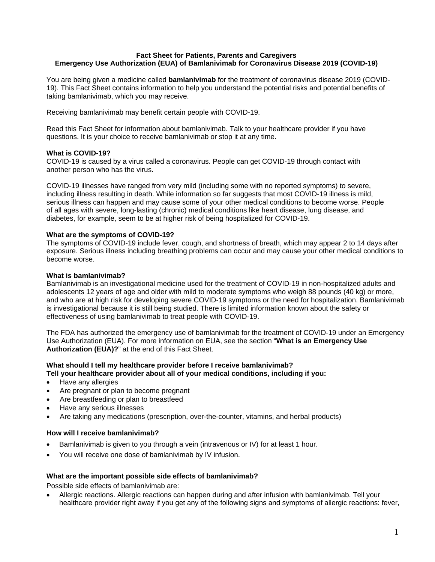#### **Fact Sheet for Patients, Parents and Caregivers Emergency Use Authorization (EUA) of Bamlanivimab for Coronavirus Disease 2019 (COVID-19)**

You are being given a medicine called **bamlanivimab** for the treatment of coronavirus disease 2019 (COVID-19). This Fact Sheet contains information to help you understand the potential risks and potential benefits of taking bamlanivimab, which you may receive.

Receiving bamlanivimab may benefit certain people with COVID-19.

Read this Fact Sheet for information about bamlanivimab. Talk to your healthcare provider if you have questions. It is your choice to receive bamlanivimab or stop it at any time.

## **What is COVID-19?**

COVID-19 is caused by a virus called a coronavirus. People can get COVID-19 through contact with another person who has the virus.

COVID-19 illnesses have ranged from very mild (including some with no reported symptoms) to severe, including illness resulting in death. While information so far suggests that most COVID-19 illness is mild, serious illness can happen and may cause some of your other medical conditions to become worse. People of all ages with severe, long-lasting (chronic) medical conditions like heart disease, lung disease, and diabetes, for example, seem to be at higher risk of being hospitalized for COVID-19.

#### **What are the symptoms of COVID-19?**

The symptoms of COVID-19 include fever, cough, and shortness of breath, which may appear 2 to 14 days after exposure. Serious illness including breathing problems can occur and may cause your other medical conditions to become worse.

## **What is bamlanivimab?**

Bamlanivimab is an investigational medicine used for the treatment of COVID-19 in non-hospitalized adults and adolescents 12 years of age and older with mild to moderate symptoms who weigh 88 pounds (40 kg) or more, and who are at high risk for developing severe COVID-19 symptoms or the need for hospitalization. Bamlanivimab is investigational because it is still being studied. There is limited information known about the safety or effectiveness of using bamlanivimab to treat people with COVID-19.

The FDA has authorized the emergency use of bamlanivimab for the treatment of COVID-19 under an Emergency Use Authorization (EUA). For more information on EUA, see the section "**What is an Emergency Use Authorization (EUA)?**" at the end of this Fact Sheet.

#### **What should I tell my healthcare provider before I receive bamlanivimab? Tell your healthcare provider about all of your medical conditions, including if you:**

- Have any allergies
- Are pregnant or plan to become pregnant
- Are breastfeeding or plan to breastfeed
- Have any serious illnesses
- Are taking any medications (prescription, over-the-counter, vitamins, and herbal products)

#### **How will I receive bamlanivimab?**

- Bamlanivimab is given to you through a vein (intravenous or IV) for at least 1 hour.
- You will receive one dose of bamlanivimab by IV infusion.

# **What are the important possible side effects of bamlanivimab?**

Possible side effects of bamlanivimab are:

 Allergic reactions. Allergic reactions can happen during and after infusion with bamlanivimab. Tell your healthcare provider right away if you get any of the following signs and symptoms of allergic reactions: fever,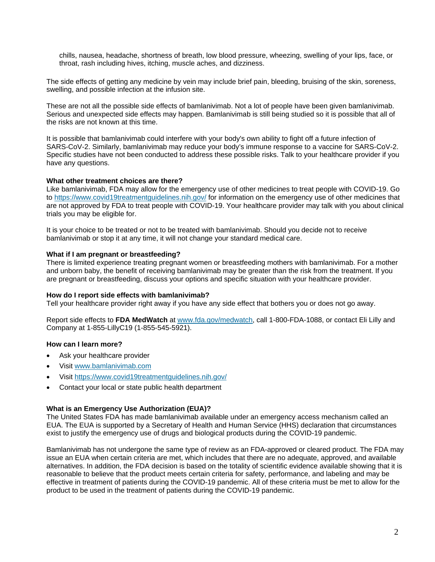chills, nausea, headache, shortness of breath, low blood pressure, wheezing, swelling of your lips, face, or throat, rash including hives, itching, muscle aches, and dizziness.

The side effects of getting any medicine by vein may include brief pain, bleeding, bruising of the skin, soreness, swelling, and possible infection at the infusion site.

These are not all the possible side effects of bamlanivimab. Not a lot of people have been given bamlanivimab. Serious and unexpected side effects may happen. Bamlanivimab is still being studied so it is possible that all of the risks are not known at this time.

It is possible that bamlanivimab could interfere with your body's own ability to fight off a future infection of SARS-CoV-2. Similarly, bamlanivimab may reduce your body's immune response to a vaccine for SARS-CoV-2. Specific studies have not been conducted to address these possible risks. Talk to your healthcare provider if you have any questions.

#### **What other treatment choices are there?**

Like bamlanivimab, FDA may allow for the emergency use of other medicines to treat people with COVID-19. Go to https://www.covid19treatmentguidelines.nih.gov/ for information on the emergency use of other medicines that are not approved by FDA to treat people with COVID-19. Your healthcare provider may talk with you about clinical trials you may be eligible for.

It is your choice to be treated or not to be treated with bamlanivimab. Should you decide not to receive bamlanivimab or stop it at any time, it will not change your standard medical care.

#### **What if I am pregnant or breastfeeding?**

There is limited experience treating pregnant women or breastfeeding mothers with bamlanivimab. For a mother and unborn baby, the benefit of receiving bamlanivimab may be greater than the risk from the treatment. If you are pregnant or breastfeeding, discuss your options and specific situation with your healthcare provider.

#### **How do I report side effects with bamlanivimab?**

Tell your healthcare provider right away if you have any side effect that bothers you or does not go away.

Report side effects to **FDA MedWatch** at www.fda.gov/medwatch, call 1-800-FDA-1088, or contact Eli Lilly and Company at 1-855-LillyC19 (1-855-545-5921).

#### **How can I learn more?**

- Ask your healthcare provider
- Visit www.bamlanivimab.com
- Visit https://www.covid19treatmentguidelines.nih.gov/
- Contact your local or state public health department

#### **What is an Emergency Use Authorization (EUA)?**

The United States FDA has made bamlanivimab available under an emergency access mechanism called an EUA. The EUA is supported by a Secretary of Health and Human Service (HHS) declaration that circumstances exist to justify the emergency use of drugs and biological products during the COVID-19 pandemic.

Bamlanivimab has not undergone the same type of review as an FDA-approved or cleared product. The FDA may issue an EUA when certain criteria are met, which includes that there are no adequate, approved, and available alternatives. In addition, the FDA decision is based on the totality of scientific evidence available showing that it is reasonable to believe that the product meets certain criteria for safety, performance, and labeling and may be effective in treatment of patients during the COVID-19 pandemic. All of these criteria must be met to allow for the product to be used in the treatment of patients during the COVID-19 pandemic.